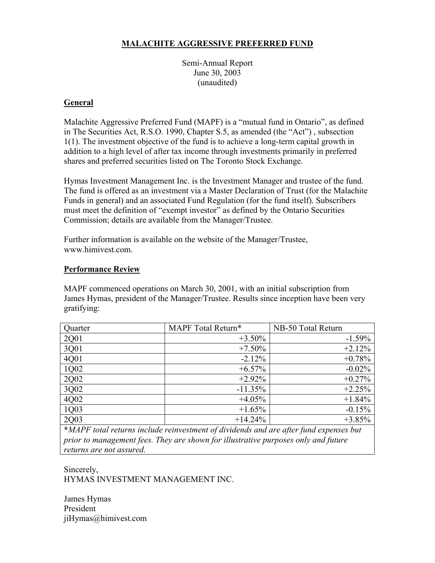# **MALACHITE AGGRESSIVE PREFERRED FUND**

Semi-Annual Report June 30, 2003 (unaudited)

## **General**

Malachite Aggressive Preferred Fund (MAPF) is a "mutual fund in Ontario", as defined in The Securities Act, R.S.O. 1990, Chapter S.5, as amended (the "Act") , subsection 1(1). The investment objective of the fund is to achieve a long-term capital growth in addition to a high level of after tax income through investments primarily in preferred shares and preferred securities listed on The Toronto Stock Exchange.

Hymas Investment Management Inc. is the Investment Manager and trustee of the fund. The fund is offered as an investment via a Master Declaration of Trust (for the Malachite Funds in general) and an associated Fund Regulation (for the fund itself). Subscribers must meet the definition of "exempt investor" as defined by the Ontario Securities Commission; details are available from the Manager/Trustee.

Further information is available on the website of the Manager/Trustee, www.himivest.com.

## **Performance Review**

MAPF commenced operations on March 30, 2001, with an initial subscription from James Hymas, president of the Manager/Trustee. Results since inception have been very gratifying:

| Quarter             | MAPF Total Return* | NB-50 Total Return |
|---------------------|--------------------|--------------------|
| 2Q01                | $+3.50%$           | $-1.59%$           |
| 3Q01                | $+7.50%$           | $+2.12%$           |
| 4Q01                | $-2.12%$           | $+0.78%$           |
| 1Q02                | $+6.57%$           | $-0.02%$           |
| 2Q02                | $+2.92%$           | $+0.27%$           |
| $\frac{3002}{4002}$ | $-11.35%$          | $+2.25%$           |
|                     | $+4.05%$           | $+1.84%$           |
| 1Q03                | $+1.65%$           | $-0.15%$           |
| 2Q03                | $+14.24%$          | $+3.85%$           |

**\****MAPF total returns include reinvestment of dividends and are after fund expenses but prior to management fees. They are shown for illustrative purposes only and future returns are not assured.*

Sincerely, HYMAS INVESTMENT MANAGEMENT INC.

James Hymas President jiHymas@himivest.com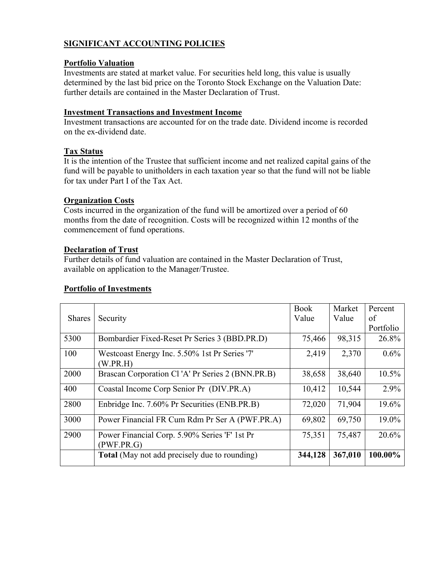## **SIGNIFICANT ACCOUNTING POLICIES**

## **Portfolio Valuation**

Investments are stated at market value. For securities held long, this value is usually determined by the last bid price on the Toronto Stock Exchange on the Valuation Date: further details are contained in the Master Declaration of Trust.

### **Investment Transactions and Investment Income**

Investment transactions are accounted for on the trade date. Dividend income is recorded on the ex-dividend date.

## **Tax Status**

It is the intention of the Trustee that sufficient income and net realized capital gains of the fund will be payable to unitholders in each taxation year so that the fund will not be liable for tax under Part I of the Tax Act.

## **Organization Costs**

Costs incurred in the organization of the fund will be amortized over a period of 60 months from the date of recognition. Costs will be recognized within 12 months of the commencement of fund operations.

#### **Declaration of Trust**

Further details of fund valuation are contained in the Master Declaration of Trust, available on application to the Manager/Trustee.

## **Portfolio of Investments**

|               |                                                             | <b>Book</b> | Market  | Percent   |
|---------------|-------------------------------------------------------------|-------------|---------|-----------|
| <b>Shares</b> | Security                                                    | Value       | Value   | of        |
|               |                                                             |             |         | Portfolio |
| 5300          | Bombardier Fixed-Reset Pr Series 3 (BBD.PR.D)               | 75,466      | 98,315  | 26.8%     |
| 100           | Westcoast Energy Inc. 5.50% 1st Pr Series '7'<br>W.PR.H)    | 2,419       | 2,370   | $0.6\%$   |
| 2000          | Brascan Corporation Cl'A' Pr Series 2 (BNN.PR.B)            | 38,658      | 38,640  | 10.5%     |
| 400           | Coastal Income Corp Senior Pr (DIV.PR.A)                    | 10,412      | 10,544  | 2.9%      |
| 2800          | Enbridge Inc. 7.60% Pr Securities (ENB.PR.B)                | 72,020      | 71,904  | 19.6%     |
| 3000          | Power Financial FR Cum Rdm Pr Ser A (PWF.PR.A)              | 69,802      | 69,750  | 19.0%     |
| 2900          | Power Financial Corp. 5.90% Series 'F' 1st Pr<br>(PWF.PR.G) | 75,351      | 75,487  | 20.6%     |
|               | <b>Total</b> (May not add precisely due to rounding)        | 344,128     | 367,010 | 100.00%   |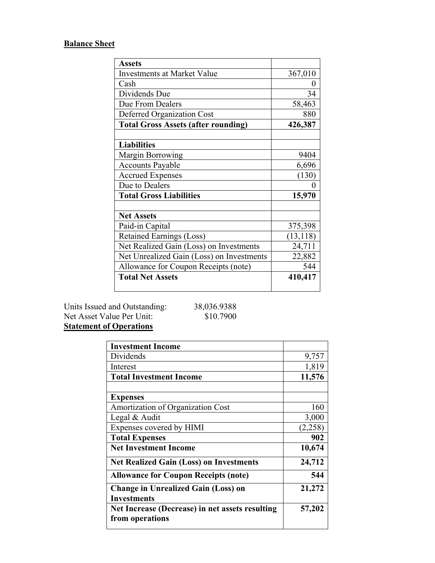# **Balance Sheet**

| <b>Assets</b>                              |           |
|--------------------------------------------|-----------|
| <b>Investments at Market Value</b>         | 367,010   |
| Cash                                       | 0         |
| Dividends Due                              | 34        |
| Due From Dealers                           | 58,463    |
| Deferred Organization Cost                 | 880       |
| <b>Total Gross Assets (after rounding)</b> | 426,387   |
|                                            |           |
| <b>Liabilities</b>                         |           |
| <b>Margin Borrowing</b>                    | 9404      |
| <b>Accounts Payable</b>                    | 6,696     |
| <b>Accrued Expenses</b>                    | (130)     |
| Due to Dealers                             | 0         |
| <b>Total Gross Liabilities</b>             | 15,970    |
|                                            |           |
| <b>Net Assets</b>                          |           |
| Paid-in Capital                            | 375,398   |
| <b>Retained Earnings (Loss)</b>            | (13, 118) |
| Net Realized Gain (Loss) on Investments    | 24,711    |
| Net Unrealized Gain (Loss) on Investments  | 22,882    |
| Allowance for Coupon Receipts (note)       | 544       |
| <b>Total Net Assets</b>                    | 410,417   |

Units Issued and Outstanding: 38,036.9388 Net Asset Value Per Unit: \$10.7900 **Statement of Operations**

| <b>Investment Income</b>                        |         |
|-------------------------------------------------|---------|
| Dividends                                       | 9,757   |
| Interest                                        | 1,819   |
| <b>Total Investment Income</b>                  | 11,576  |
|                                                 |         |
| <b>Expenses</b>                                 |         |
| Amortization of Organization Cost               | 160     |
| Legal & Audit                                   | 3,000   |
| Expenses covered by HIMI                        | (2,258) |
| <b>Total Expenses</b>                           | 902     |
| <b>Net Investment Income</b>                    | 10,674  |
| <b>Net Realized Gain (Loss) on Investments</b>  | 24,712  |
| <b>Allowance for Coupon Receipts (note)</b>     | 544     |
| <b>Change in Unrealized Gain (Loss) on</b>      | 21,272  |
| <b>Investments</b>                              |         |
| Net Increase (Decrease) in net assets resulting | 57,202  |
| from operations                                 |         |